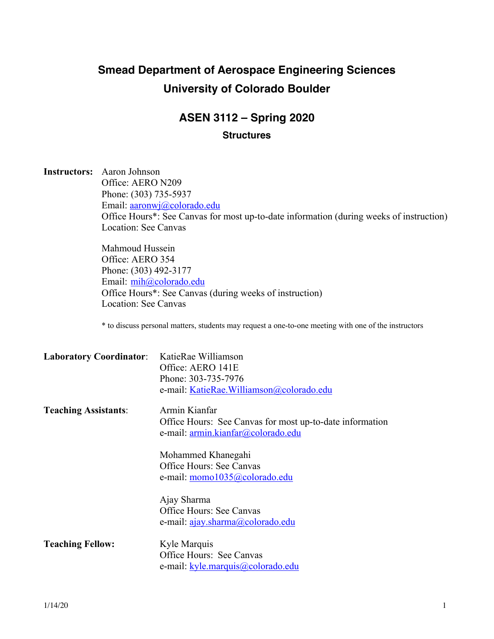# **Smead Department of Aerospace Engineering Sciences University of Colorado Boulder**

## **ASEN 3112 – Spring 2020**

#### **Structures**

**Instructors:** Aaron Johnson Office: AERO N209 Phone: (303) 735-5937 Email: aaronwj@colorado.edu Office Hours\*: See Canvas for most up-to-date information (during weeks of instruction) Location: See Canvas

> Mahmoud Hussein Office: AERO 354 Phone: (303) 492-3177 Email: mih@colorado.edu Office Hours\*: See Canvas (during weeks of instruction) Location: See Canvas

\* to discuss personal matters, students may request a one-to-one meeting with one of the instructors

| <b>Laboratory Coordinator:</b> | KatieRae Williamson                                      |
|--------------------------------|----------------------------------------------------------|
|                                | Office: AERO 141E                                        |
|                                | Phone: 303-735-7976                                      |
|                                | e-mail: KatieRae.Williamson@colorado.edu                 |
| <b>Teaching Assistants:</b>    | Armin Kianfar                                            |
|                                | Office Hours: See Canvas for most up-to-date information |
|                                | e-mail: armin.kianfar@colorado.edu                       |
|                                | Mohammed Khanegahi                                       |
|                                | <b>Office Hours: See Canvas</b>                          |
|                                | e-mail: momo1035@colorado.edu                            |
|                                | Ajay Sharma                                              |
|                                | <b>Office Hours: See Canvas</b>                          |
|                                | e-mail: <u>ajay.sharma@colorado.edu</u>                  |
| <b>Teaching Fellow:</b>        | Kyle Marquis                                             |
|                                | Office Hours: See Canvas                                 |
|                                | e-mail: <u>kyle.marquis@colorado.edu</u>                 |
|                                |                                                          |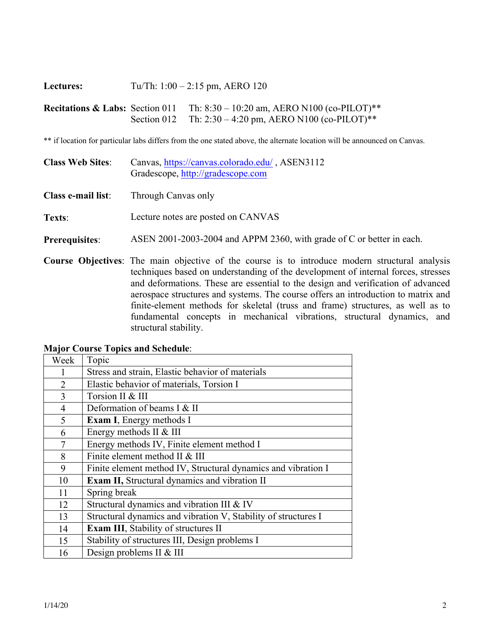| Lectures:                                  | Tu/Th: $1:00 - 2:15$ pm, AERO 120 |                                                                                             |  |
|--------------------------------------------|-----------------------------------|---------------------------------------------------------------------------------------------|--|
| <b>Recitations &amp; Labs:</b> Section 011 | Section 012                       | Th: $8:30 - 10:20$ am, AERO N100 (co-PILOT)**<br>Th: 2:30 – 4:20 pm, AERO N100 (co-PILOT)** |  |

\*\* if location for particular labs differs from the one stated above, the alternate location will be announced on Canvas.

| <b>Class Web Sites:</b> | Canvas, https://canvas.colorado.edu/, ASEN3112<br>Gradescope, http://gradescope.com                                                                                                                                                                                                                                                                                 |
|-------------------------|---------------------------------------------------------------------------------------------------------------------------------------------------------------------------------------------------------------------------------------------------------------------------------------------------------------------------------------------------------------------|
| Class e-mail list:      | Through Canvas only                                                                                                                                                                                                                                                                                                                                                 |
| Texts:                  | Lecture notes are posted on CANVAS                                                                                                                                                                                                                                                                                                                                  |
| <b>Prerequisites:</b>   | ASEN 2001-2003-2004 and APPM 2360, with grade of C or better in each.                                                                                                                                                                                                                                                                                               |
|                         | <b>Course Objectives:</b> The main objective of the course is to introduce modern structural analysis<br>techniques based on understanding of the development of internal forces, stresses<br>and deformations. These are essential to the design and verification of advanced<br>aerospace structures and systems. The course offers an introduction to matrix and |

| acrospace su actures and systems. The course offers an indicatedral to matrix and |  |  |  |  |
|-----------------------------------------------------------------------------------|--|--|--|--|
| finite-element methods for skeletal (truss and frame) structures, as well as to   |  |  |  |  |
| fundamental concepts in mechanical vibrations, structural dynamics, and           |  |  |  |  |
| structural stability.                                                             |  |  |  |  |

| Week           | Topic                                                          |
|----------------|----------------------------------------------------------------|
|                | Stress and strain, Elastic behavior of materials               |
| $\overline{2}$ | Elastic behavior of materials, Torsion I                       |
| 3              | Torsion II & III                                               |
| $\overline{4}$ | Deformation of beams I & II                                    |
| 5              | <b>Exam I, Energy methods I</b>                                |
| 6              | Energy methods II & III                                        |
| 7              | Energy methods IV, Finite element method I                     |
| 8              | Finite element method II & III                                 |
| 9              | Finite element method IV, Structural dynamics and vibration I  |
| 10             | Exam II, Structural dynamics and vibration II                  |
| 11             | Spring break                                                   |
| 12             | Structural dynamics and vibration III & IV                     |
| 13             | Structural dynamics and vibration V, Stability of structures I |
| 14             | <b>Exam III</b> , Stability of structures II                   |
| 15             | Stability of structures III, Design problems I                 |
| 16             | Design problems II & III                                       |

**Major Course Topics and Schedule**: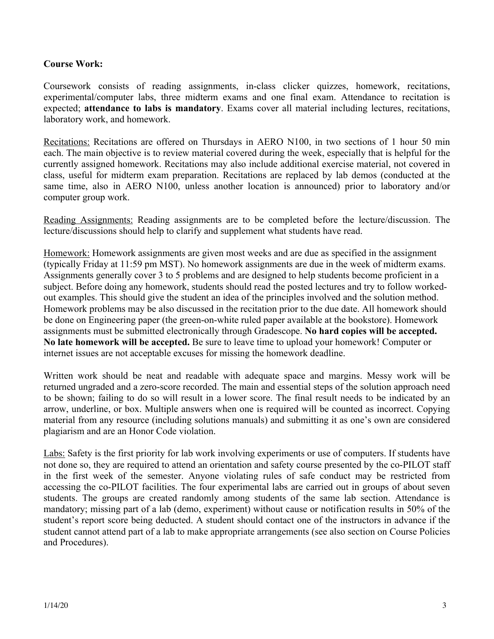#### **Course Work:**

Coursework consists of reading assignments, in-class clicker quizzes, homework, recitations, experimental/computer labs, three midterm exams and one final exam. Attendance to recitation is expected; **attendance to labs is mandatory**. Exams cover all material including lectures, recitations, laboratory work, and homework.

Recitations: Recitations are offered on Thursdays in AERO N100, in two sections of 1 hour 50 min each. The main objective is to review material covered during the week, especially that is helpful for the currently assigned homework. Recitations may also include additional exercise material, not covered in class, useful for midterm exam preparation. Recitations are replaced by lab demos (conducted at the same time, also in AERO N100, unless another location is announced) prior to laboratory and/or computer group work.

Reading Assignments: Reading assignments are to be completed before the lecture/discussion. The lecture/discussions should help to clarify and supplement what students have read.

Homework: Homework assignments are given most weeks and are due as specified in the assignment (typically Friday at 11:59 pm MST). No homework assignments are due in the week of midterm exams. Assignments generally cover 3 to 5 problems and are designed to help students become proficient in a subject. Before doing any homework, students should read the posted lectures and try to follow workedout examples. This should give the student an idea of the principles involved and the solution method. Homework problems may be also discussed in the recitation prior to the due date. All homework should be done on Engineering paper (the green-on-white ruled paper available at the bookstore). Homework assignments must be submitted electronically through Gradescope. **No hard copies will be accepted. No late homework will be accepted.** Be sure to leave time to upload your homework! Computer or internet issues are not acceptable excuses for missing the homework deadline.

Written work should be neat and readable with adequate space and margins. Messy work will be returned ungraded and a zero-score recorded. The main and essential steps of the solution approach need to be shown; failing to do so will result in a lower score. The final result needs to be indicated by an arrow, underline, or box. Multiple answers when one is required will be counted as incorrect. Copying material from any resource (including solutions manuals) and submitting it as one's own are considered plagiarism and are an Honor Code violation.

Labs: Safety is the first priority for lab work involving experiments or use of computers. If students have not done so, they are required to attend an orientation and safety course presented by the co-PILOT staff in the first week of the semester. Anyone violating rules of safe conduct may be restricted from accessing the co-PILOT facilities. The four experimental labs are carried out in groups of about seven students. The groups are created randomly among students of the same lab section. Attendance is mandatory; missing part of a lab (demo, experiment) without cause or notification results in 50% of the student's report score being deducted. A student should contact one of the instructors in advance if the student cannot attend part of a lab to make appropriate arrangements (see also section on Course Policies and Procedures).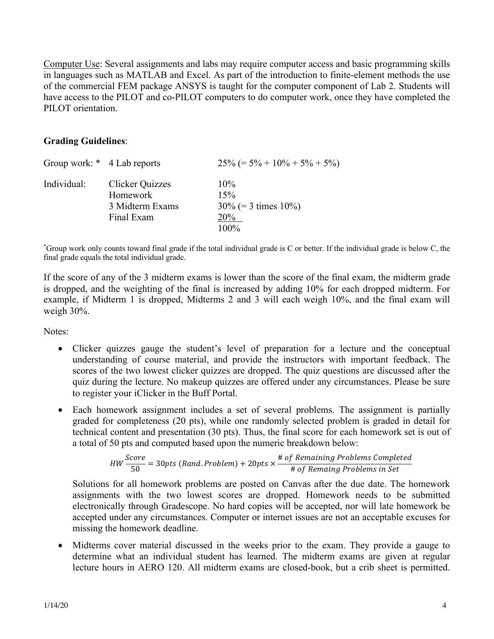Computer Use: Several assignments and labs may require computer access and basic programming skills in languages such as MATLAB and Excel. As part of the introduction to finite-element methods the use of the commercial FEM package ANSYS is taught for the computer component of Lab 2. Students will have access to the PILOT and co-PILOT computers to do computer work, once they have completed the PILOT orientation.

#### **Grading Guidelines**:

| Group work: * 4 Lab reports |                        | $25\%$ (= 5% + 10% + 5% + 5%) |
|-----------------------------|------------------------|-------------------------------|
| Individual:                 | <b>Clicker Quizzes</b> | $10\%$                        |
|                             | Homework               | 15%                           |
|                             | 3 Midterm Exams        | $30\%$ (= 3 times 10%)        |
|                             | Final Exam             | 20%                           |
|                             |                        | $100\%$                       |

\* Group work only counts toward final grade if the total individual grade is C or better. If the individual grade is below C, the final grade equals the total individual grade.

If the score of any of the 3 midterm exams is lower than the score of the final exam, the midterm grade is dropped, and the weighting of the final is increased by adding 10% for each dropped midterm. For example, if Midterm 1 is dropped, Midterms 2 and 3 will each weigh 10%, and the final exam will weigh 30%.

Notes:

- Clicker quizzes gauge the student's level of preparation for a lecture and the conceptual understanding of course material, and provide the instructors with important feedback. The scores of the two lowest clicker quizzes are dropped. The quiz questions are discussed after the quiz during the lecture. No makeup quizzes are offered under any circumstances. Please be sure to register your iClicker in the Buff Portal.
- Each homework assignment includes a set of several problems. The assignment is partially graded for completeness (20 pts), while one randomly selected problem is graded in detail for technical content and presentation (30 pts). Thus, the final score for each homework set is out of a total of 50 pts and computed based upon the numeric breakdown below:

*HW* 
$$
\frac{Score}{50}
$$
 = 30*pts* (Rand.*Problem*) + 20*pts*  $\times \frac{\text{# of Remaining Problems Completed}}{\text{# of Remaing Problems in Set}}$ 

Solutions for all homework problems are posted on Canvas after the due date. The homework assignments with the two lowest scores are dropped. Homework needs to be submitted electronically through Gradescope. No hard copies will be accepted, nor will late homework be accepted under any circumstances. Computer or internet issues are not an acceptable excuses for missing the homework deadline.

• Midterms cover material discussed in the weeks prior to the exam. They provide a gauge to determine what an individual student has learned. The midterm exams are given at regular lecture hours in AERO 120. All midterm exams are closed-book, but a crib sheet is permitted.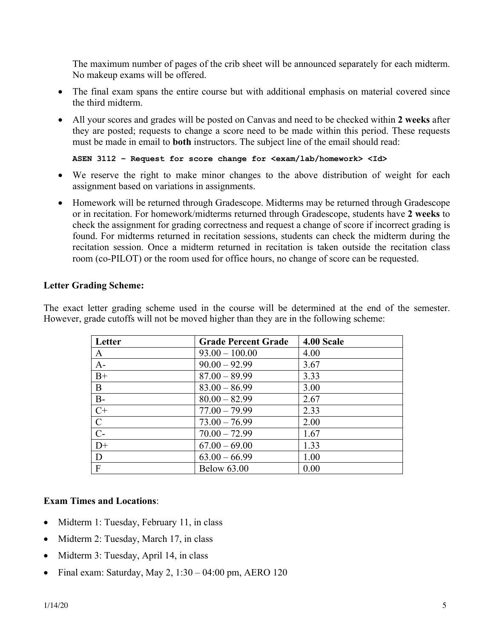The maximum number of pages of the crib sheet will be announced separately for each midterm. No makeup exams will be offered.

- The final exam spans the entire course but with additional emphasis on material covered since the third midterm.
- All your scores and grades will be posted on Canvas and need to be checked within **2 weeks** after they are posted; requests to change a score need to be made within this period. These requests must be made in email to **both** instructors. The subject line of the email should read:

**ASEN 3112 – Request for score change for <exam/lab/homework> <Id>**

- We reserve the right to make minor changes to the above distribution of weight for each assignment based on variations in assignments.
- Homework will be returned through Gradescope. Midterms may be returned through Gradescope or in recitation. For homework/midterms returned through Gradescope, students have **2 weeks** to check the assignment for grading correctness and request a change of score if incorrect grading is found. For midterms returned in recitation sessions, students can check the midterm during the recitation session. Once a midterm returned in recitation is taken outside the recitation class room (co-PILOT) or the room used for office hours, no change of score can be requested.

#### **Letter Grading Scheme:**

The exact letter grading scheme used in the course will be determined at the end of the semester. However, grade cutoffs will not be moved higher than they are in the following scheme:

| Letter         | <b>Grade Percent Grade</b> | 4.00 Scale |
|----------------|----------------------------|------------|
| A              | $93.00 - 100.00$           | 4.00       |
| $A-$           | $90.00 - 92.99$            | 3.67       |
| $B+$           | $87.00 - 89.99$            | 3.33       |
| B              | $83.00 - 86.99$            | 3.00       |
| $B-$           | $80.00 - 82.99$            | 2.67       |
| $C+$           | $77.00 - 79.99$            | 2.33       |
| ${\bf C}$      | $73.00 - 76.99$            | 2.00       |
| $\overline{C}$ | $70.00 - 72.99$            | 1.67       |
| $D+$           | $67.00 - 69.00$            | 1.33       |
| D              | $63.00 - 66.99$            | 1.00       |
| $\mathbf{F}$   | <b>Below 63.00</b>         | 0.00       |

### **Exam Times and Locations**:

- Midterm 1: Tuesday, February 11, in class
- Midterm 2: Tuesday, March 17, in class
- Midterm 3: Tuesday, April 14, in class
- Final exam: Saturday, May 2, 1:30 04:00 pm, AERO 120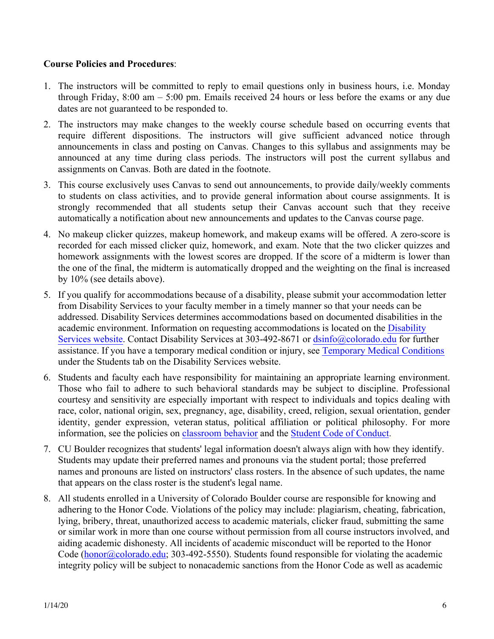### **Course Policies and Procedures**:

- 1. The instructors will be committed to reply to email questions only in business hours, i.e. Monday through Friday, 8:00 am – 5:00 pm. Emails received 24 hours or less before the exams or any due dates are not guaranteed to be responded to.
- 2. The instructors may make changes to the weekly course schedule based on occurring events that require different dispositions. The instructors will give sufficient advanced notice through announcements in class and posting on Canvas. Changes to this syllabus and assignments may be announced at any time during class periods. The instructors will post the current syllabus and assignments on Canvas. Both are dated in the footnote.
- 3. This course exclusively uses Canvas to send out announcements, to provide daily/weekly comments to students on class activities, and to provide general information about course assignments. It is strongly recommended that all students setup their Canvas account such that they receive automatically a notification about new announcements and updates to the Canvas course page.
- 4. No makeup clicker quizzes, makeup homework, and makeup exams will be offered. A zero-score is recorded for each missed clicker quiz, homework, and exam. Note that the two clicker quizzes and homework assignments with the lowest scores are dropped. If the score of a midterm is lower than the one of the final, the midterm is automatically dropped and the weighting on the final is increased by 10% (see details above).
- 5. If you qualify for accommodations because of a disability, please submit your accommodation letter from Disability Services to your faculty member in a timely manner so that your needs can be addressed. Disability Services determines accommodations based on documented disabilities in the academic environment. Information on requesting accommodations is located on the [Disability](https://www.colorado.edu/disabilityservices/students) [Services website](https://www.colorado.edu/disabilityservices/students). Contact Disability Services at 303-492-8671 or dsinfo@colorado.edu for further assistance. If you have a temporary medical condition or injury, see [Temporary Medical Conditions](https://www.colorado.edu/disabilityservices/students/temporary-medical-conditions) under the Students tab on the Disability Services website.
- 6. Students and faculty each have responsibility for maintaining an appropriate learning environment. Those who fail to adhere to such behavioral standards may be subject to discipline. Professional courtesy and sensitivity are especially important with respect to individuals and topics dealing with race, color, national origin, sex, pregnancy, age, disability, creed, religion, sexual orientation, gender identity, gender expression, veteran status, political affiliation or political philosophy. For more information, see the policies on [classroom behavior](https://www.colorado.edu/policies/student-classroom-course-related-behavior) and the [Student Code of Conduct](https://www.colorado.edu/sccr/).
- 7. CU Boulder recognizes that students' legal information doesn't always align with how they identify. Students may update their preferred names and pronouns via the student portal; those preferred names and pronouns are listed on instructors' class rosters. In the absence of such updates, the name that appears on the class roster is the student's legal name.
- 8. All students enrolled in a University of Colorado Boulder course are responsible for knowing and adhering to the Honor Code. Violations of the policy may include: plagiarism, cheating, fabrication, lying, bribery, threat, unauthorized access to academic materials, clicker fraud, submitting the same or similar work in more than one course without permission from all course instructors involved, and aiding academic dishonesty. All incidents of academic misconduct will be reported to the Honor Code ( $\underline{honor@colorado.edu}$ ; 303-492-5550). Students found responsible for violating the academic integrity policy will be subject to nonacademic sanctions from the Honor Code as well as academic